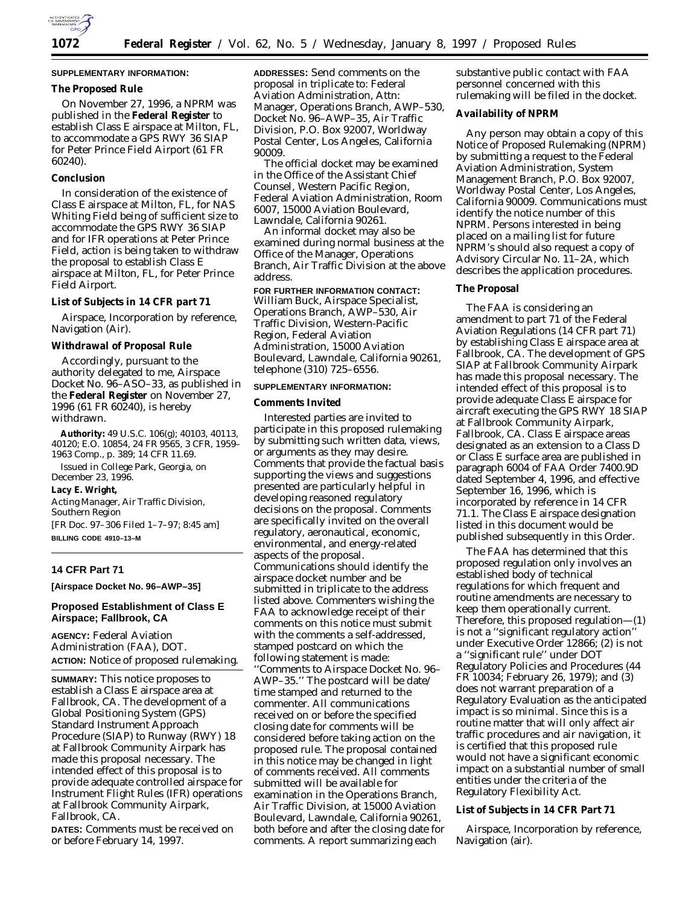

# **SUPPLEMENTARY INFORMATION:**

## **The Proposed Rule**

On November 27, 1996, a NPRM was published in the **Federal Register** to establish Class E airspace at Milton, FL, to accommodate a GPS RWY 36 SIAP for Peter Prince Field Airport (61 FR 60240).

## **Conclusion**

In consideration of the existence of Class E airspace at Milton, FL, for NAS Whiting Field being of sufficient size to accommodate the GPS RWY 36 SIAP and for IFR operations at Peter Prince Field, action is being taken to withdraw the proposal to establish Class E airspace at Milton, FL, for Peter Prince Field Airport.

#### **List of Subjects in 14 CFR part 71**

Airspace, Incorporation by reference, Navigation (Air).

### **Withdrawal of Proposal Rule**

Accordingly, pursuant to the authority delegated to me, Airspace Docket No. 96–ASO–33, as published in the **Federal Register** on November 27, 1996 (61 FR 60240), is hereby withdrawn.

**Authority:** 49 U.S.C. 106(g); 40103, 40113, 40120; E.O. 10854, 24 FR 9565, 3 CFR, 1959– 1963 Comp., p. 389; 14 CFR 11.69.

Issued in College Park, Georgia, on December 23, 1996.

**Lacy E. Wright,**

*Acting Manager, Air Traffic Division, Southern Region* [FR Doc. 97–306 Filed 1–7–97; 8:45 am]

**BILLING CODE 4910–13–M**

## **14 CFR Part 71**

**[Airspace Docket No. 96–AWP–35]**

# **Proposed Establishment of Class E Airspace; Fallbrook, CA**

**AGENCY:** Federal Aviation Administration (FAA), DOT. **ACTION:** Notice of proposed rulemaking.

**SUMMARY:** This notice proposes to establish a Class E airspace area at Fallbrook, CA. The development of a Global Positioning System (GPS) Standard Instrument Approach Procedure (SIAP) to Runway (RWY) 18 at Fallbrook Community Airpark has made this proposal necessary. The intended effect of this proposal is to provide adequate controlled airspace for Instrument Flight Rules (IFR) operations at Fallbrook Community Airpark, Fallbrook, CA.

**DATES:** Comments must be received on or before February 14, 1997.

**ADDRESSES:** Send comments on the proposal in triplicate to: Federal Aviation Administration, Attn: Manager, Operations Branch, AWP–530, Docket No. 96–AWP–35, Air Traffic Division, P.O. Box 92007, Worldway Postal Center, Los Angeles, California 90009.

The official docket may be examined in the Office of the Assistant Chief Counsel, Western Pacific Region, Federal Aviation Administration, Room 6007, 15000 Aviation Boulevard, Lawndale, California 90261.

An informal docket may also be examined during normal business at the Office of the Manager, Operations Branch, Air Traffic Division at the above address.

**FOR FURTHER INFORMATION CONTACT:** William Buck, Airspace Specialist, Operations Branch, AWP–530, Air Traffic Division, Western-Pacific Region, Federal Aviation Administration, 15000 Aviation Boulevard, Lawndale, California 90261, telephone (310) 725–6556.

## **SUPPLEMENTARY INFORMATION:**

### **Comments Invited**

Interested parties are invited to participate in this proposed rulemaking by submitting such written data, views, or arguments as they may desire. Comments that provide the factual basis supporting the views and suggestions presented are particularly helpful in developing reasoned regulatory decisions on the proposal. Comments are specifically invited on the overall regulatory, aeronautical, economic, environmental, and energy-related aspects of the proposal. Communications should identify the airspace docket number and be submitted in triplicate to the address listed above. Commenters wishing the FAA to acknowledge receipt of their comments on this notice must submit with the comments a self-addressed, stamped postcard on which the following statement is made: ''Comments to Airspace Docket No. 96– AWP–35.'' The postcard will be date/ time stamped and returned to the commenter. All communications received on or before the specified closing date for comments will be considered before taking action on the proposed rule. The proposal contained in this notice may be changed in light of comments received. All comments submitted will be available for examination in the Operations Branch, Air Traffic Division, at 15000 Aviation Boulevard, Lawndale, California 90261, both before and after the closing date for comments. A report summarizing each

substantive public contact with FAA personnel concerned with this rulemaking will be filed in the docket.

#### **Availability of NPRM**

Any person may obtain a copy of this Notice of Proposed Rulemaking (NPRM) by submitting a request to the Federal Aviation Administration, System Management Branch, P.O. Box 92007, Worldway Postal Center, Los Angeles, California 90009. Communications must identify the notice number of this NPRM. Persons interested in being placed on a mailing list for future NPRM's should also request a copy of Advisory Circular No. 11–2A, which describes the application procedures.

# **The Proposal**

The FAA is considering an amendment to part 71 of the Federal Aviation Regulations (14 CFR part 71) by establishing Class E airspace area at Fallbrook, CA. The development of GPS SIAP at Fallbrook Community Airpark has made this proposal necessary. The intended effect of this proposal is to provide adequate Class E airspace for aircraft executing the GPS RWY 18 SIAP at Fallbrook Community Airpark, Fallbrook, CA. Class E airspace areas designated as an extension to a Class D or Class E surface area are published in paragraph 6004 of FAA Order 7400.9D dated September 4, 1996, and effective September 16, 1996, which is incorporated by reference in 14 CFR 71.1. The Class E airspace designation listed in this document would be published subsequently in this Order.

The FAA has determined that this proposed regulation only involves an established body of technical regulations for which frequent and routine amendments are necessary to keep them operationally current. Therefore, this proposed regulation—(1) is not a ''significant regulatory action'' under Executive Order 12866; (2) is not a ''significant rule'' under DOT Regulatory Policies and Procedures (44 FR 10034; February 26, 1979); and (3) does not warrant preparation of a Regulatory Evaluation as the anticipated impact is so minimal. Since this is a routine matter that will only affect air traffic procedures and air navigation, it is certified that this proposed rule would not have a significant economic impact on a substantial number of small entities under the criteria of the Regulatory Flexibility Act.

**List of Subjects in 14 CFR Part 71**

Airspace, Incorporation by reference, Navigation (air).